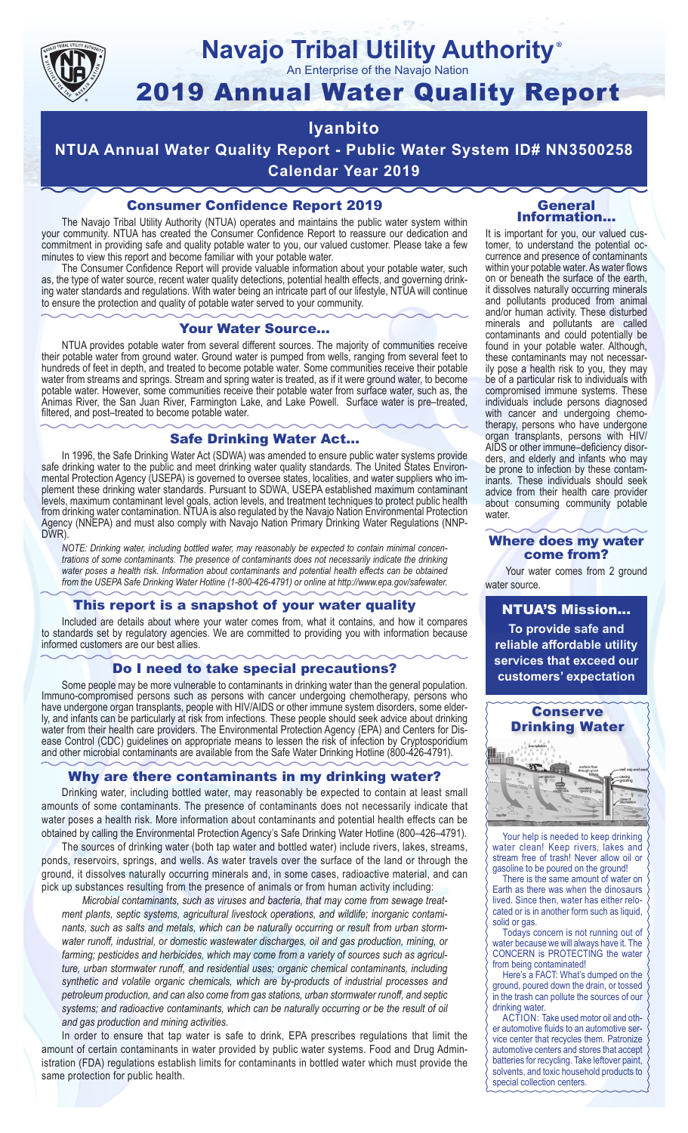

# **Navajo Tribal Utility Authority**

An Enterprise of the Navajo Nation

# 2019 Annual Water Quality Report

### **Iyanbito**

**NTUA Annual Water Quality Report - Public Water System ID# NN3500258 Calendar Year 2019**

#### Consumer Confidence Report 2019

The Navajo Tribal Utility Authority (NTUA) operates and maintains the public water system within your community. NTUA has created the Consumer Confidence Report to reassure our dedication and commitment in providing safe and quality potable water to you, our valued customer. Please take a few minutes to view this report and become familiar with your potable water.

The Consumer Confidence Report will provide valuable information about your potable water, such as, the type of water source, recent water quality detections, potential health effects, and governing drinking water standards and regulations. With water being an intricate part of our lifestyle, NTUA will continue to ensure the protection and quality of potable water served to your community.

#### Your Water Source…

NTUA provides potable water from several different sources. The majority of communities receive their potable water from ground water. Ground water is pumped from wells, ranging from several feet to hundreds of feet in depth, and treated to become potable water. Some communities receive their potable water from streams and springs. Stream and spring water is treated, as if it were ground water, to become potable water. However, some communities receive their potable water from surface water, such as, the Animas River, the San Juan River, Farmington Lake, and Lake Powell. Surface water is pre–treated, filtered, and post–treated to become potable water.

#### Safe Drinking Water Act…

In 1996, the Safe Drinking Water Act (SDWA) was amended to ensure public water systems provide safe drinking water to the public and meet drinking water quality standards. The United States Environmental Protection Agency (USEPA) is governed to oversee states, localities, and water suppliers who implement these drinking water standards. Pursuant to SDWA, USEPA established maximum contaminant levels, maximum contaminant level goals, action levels, and treatment techniques to protect public health from drinking water contamination. NTUA is also regulated by the Navajo Nation Environmental Protection Agency (NNEPA) and must also comply with Navajo Nation Primary Drinking Water Regulations (NNP-DWR)

*NOTE: Drinking water, including bottled water, may reasonably be expected to contain minimal concentrations of some contaminants. The presence of contaminants does not necessarily indicate the drinking water poses a health risk. Information about contaminants and potential health effects can be obtained from the USEPA Safe Drinking Water Hotline (1-800-426-4791) or online at http://www.epa.gov/safewater.*

#### This report is a snapshot of your water quality

Included are details about where your water comes from, what it contains, and how it compares to standards set by regulatory agencies. We are committed to providing you with information because informed customers are our best allies.

#### Do I need to take special precautions?

Some people may be more vulnerable to contaminants in drinking water than the general population. Immuno-compromised persons such as persons with cancer undergoing chemotherapy, persons who have undergone organ transplants, people with HIV/AIDS or other immune system disorders, some elderly, and infants can be particularly at risk from infections. These people should seek advice about drinking water from their health care providers. The Environmental Protection Agency (EPA) and Centers for Disease Control (CDC) guidelines on appropriate means to lessen the risk of infection by Cryptosporidium and other microbial contaminants are available from the Safe Water Drinking Hotline (800-426-4791).

#### Why are there contaminants in my drinking water?

Drinking water, including bottled water, may reasonably be expected to contain at least small amounts of some contaminants. The presence of contaminants does not necessarily indicate that water poses a health risk. More information about contaminants and potential health effects can be obtained by calling the Environmental Protection Agency's Safe Drinking Water Hotline (800–426–4791).

The sources of drinking water (both tap water and bottled water) include rivers, lakes, streams, ponds, reservoirs, springs, and wells. As water travels over the surface of the land or through the ground, it dissolves naturally occurring minerals and, in some cases, radioactive material, and can pick up substances resulting from the presence of animals or from human activity including:

*Microbial contaminants, such as viruses and bacteria, that may come from sewage treatment plants, septic systems, agricultural livestock operations, and wildlife; inorganic contaminants, such as salts and metals, which can be naturally occurring or result from urban stormwater runoff, industrial, or domestic wastewater discharges, oil and gas production, mining, or farming; pesticides and herbicides, which may come from a variety of sources such as agriculture, urban stormwater runoff, and residential uses; organic chemical contaminants, including synthetic and volatile organic chemicals, which are by-products of industrial processes and petroleum production, and can also come from gas stations, urban stormwater runoff, and septic systems; and radioactive contaminants, which can be naturally occurring or be the result of oil and gas production and mining activities.*

In order to ensure that tap water is safe to drink, EPA prescribes regulations that limit the amount of certain contaminants in water provided by public water systems. Food and Drug Administration (FDA) regulations establish limits for contaminants in bottled water which must provide the same protection for public health.

#### General Information…

®

It is important for you, our valued customer, to understand the potential occurrence and presence of contaminants within your potable water. As water flows on or beneath the surface of the earth, it dissolves naturally occurring minerals and pollutants produced from animal and/or human activity. These disturbed minerals and pollutants are called contaminants and could potentially be found in your potable water. Although, these contaminants may not necessarily pose a health risk to you, they may be of a particular risk to individuals with compromised immune systems. These individuals include persons diagnosed with cancer and undergoing chemo-<br>therapy, persons who have undergone organ transplants, persons with HIV/ AIDS or other immune–deficiency disor- ders, and elderly and infants who may be prone to infection by these contam- inants. These individuals should seek advice from their health care provider about consuming community potable water.

#### Where does my water come from?

Your water comes from 2 ground water source.

NTUA'S Mission... **To provide safe and reliable affordable utility services that exceed our customers' expectation**



Your help is needed to keep drinking water clean! Keep rivers, lakes and stream free of trash! Never allow oil or gasoline to be poured on the ground!

There is the same amount of water on Earth as there was when the dinosaurs lived. Since then, water has either relocated or is in another form such as liquid, solid or gas.

Todays concern is not running out of water because we will always have it. The CONCERN is PROTECTING the water from being contaminated!

Here's a FACT: What's dumped on the ground, poured down the drain, or tossed in the trash can pollute the sources of our drinking water.

ACTION: Take used motor oil and other automotive fluids to an automotive service center that recycles them. Patronize automotive centers and stores that accept batteries for recycling. Take leftover paint, solvents, and toxic household products to special collection centers.